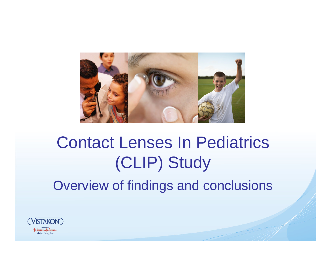

Overview of findings and conclusions

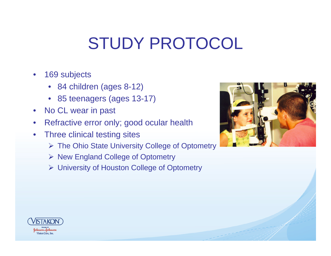## STUDY PROTOCOL

- $\bullet$  169 subjects
	- 84 children (ages 8-12)
	- 85 teenagers (ages 13-17)
- $\bullet$ No CL wear in past
- $\bullet$ Refractive error only; good ocular health
- • Three clinical testing sites
	- ¾ The Ohio State University College of Optometry
	- ¾ New England College of Optometry
	- ¾ University of Houston College of Optometry



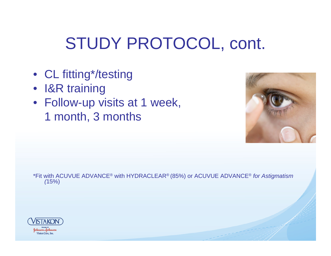## STUDY PROTOCOL, cont.

- CL fitting\*/testing
- I&R training
- Follow-up visits at 1 week, 1 month, 3 months



\*Fit with ACUVUE ADVANCE® with HYDRACLEAR® (85%) or ACUVUE ADVANCE® *for Astigmatism (*15%)

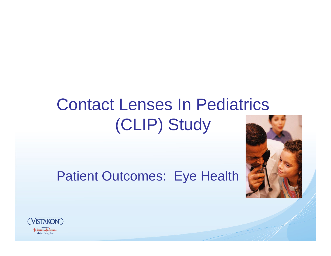#### Patient Outcomes: Eye Health



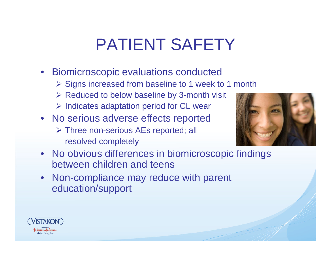### PATIENT SAFETY

- Biomicroscopic evaluations conducted
	- ¾ Signs increased from baseline to 1 week to 1 month
	- $\triangleright$  Reduced to below baseline by 3-month visit
	- ¾ Indicates adaptation period for CL wear
- No serious adverse effects reported ¾ Three non-serious AEs reported; all resolved completely



- No obvious differences in biomicroscopic findings between children and teens
- Non-compliance may reduce with parent education/support

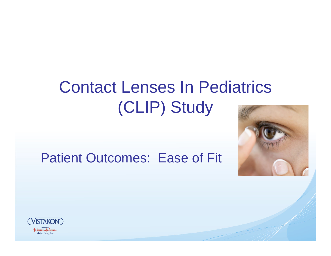



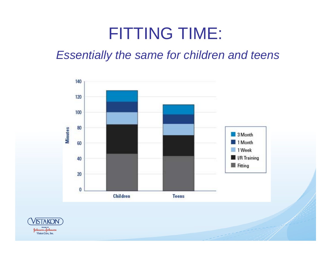#### FITTING TIME:

#### *Essentially the same for children and teens*



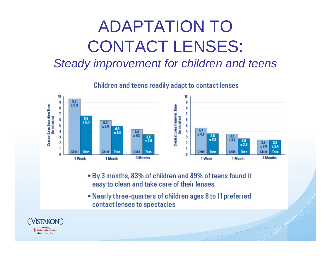# ADAPTATION TO CONTACT LENSES:

#### *Steady improvement for children and teens*

Children and teens readily adapt to contact lenses



- By 3 months, 83% of children and 89% of teens found it easy to clean and take care of their lenses
- Nearly three-quarters of children ages 8 to 11 preferred contact lenses to spectacles

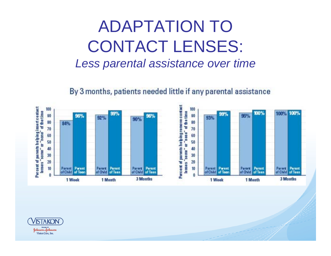#### ADAPTATION TO CONTACT LENSES: *Less parental assistance over time*

By 3 months, patients needed little if any parental assistance



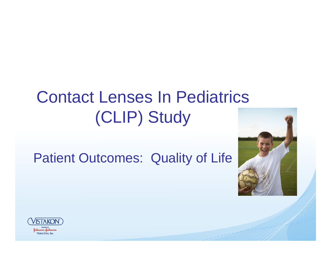#### Patient Outcomes: Quality of Life



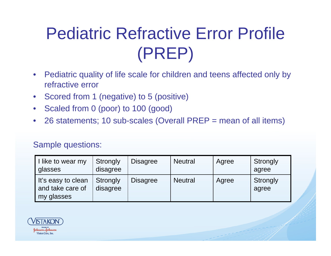# Pediatric Refractive Error Profile (PREP)

- $\bullet$  Pediatric quality of life scale for children and teens affected only by refractive error
- $\bullet$ Scored from 1 (negative) to 5 (positive)
- $\bullet$ Scaled from 0 (poor) to 100 (good)
- $\bullet$ 26 statements; 10 sub-scales (Overall PREP = mean of all items)

#### Sample questions:

| I like to wear my<br><b>glasses</b>                  | Strongly<br>disagree | <b>Disagree</b> | <b>Neutral</b> | Agree | Strongly<br>agree |
|------------------------------------------------------|----------------------|-----------------|----------------|-------|-------------------|
| It's easy to clean<br>and take care of<br>my glasses | Strongly<br>disagree | <b>Disagree</b> | <b>Neutral</b> | Agree | Strongly<br>agree |

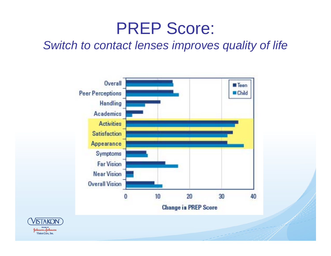#### PREP Score:

#### *Switch to contact lenses improves quality of life*



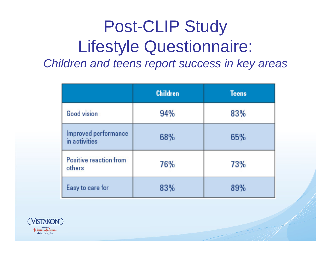#### Post-CLIP Study Lifestyle Questionnaire: *Children and teens report success in key areas*

|                                       | <b>Children</b> | <b>Teens</b> |
|---------------------------------------|-----------------|--------------|
| Good vision                           | 94%             | 83%          |
| Improved performance<br>in activities | 68%             | 65%          |
| Positive reaction from<br>others      | 76%             | 73%          |
| Easy to care for                      | 83%             | 89%          |

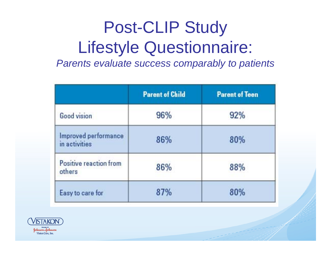## Post-CLIP Study Lifestyle Questionnaire:

*Parents evaluate success comparably to patients*

|                                       | <b>Parent of Child</b> | <b>Parent of Teen</b> |
|---------------------------------------|------------------------|-----------------------|
| Good vision                           | 96%                    | 92%                   |
| Improved performance<br>in activities | 86%                    | 80%                   |
| Positive reaction from<br>others      | 86%                    | 88%                   |
| Easy to care for                      | 87%                    | 80%                   |

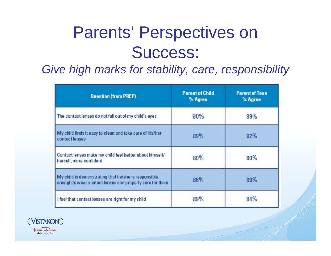### Parents' Perspectives on Success:

#### *Give high marks for stability, care, responsibility*

| <b>Question (from PREP)</b>                                                                                      | <b>Parent of Child</b><br>% Agree | <b>Parent of Teen</b><br>% Agree |
|------------------------------------------------------------------------------------------------------------------|-----------------------------------|----------------------------------|
| The contact lenses do not fall out of my child's eyes                                                            | 90%                               | 89%                              |
| My child finds it easy to clean and take care of his/her<br>contact lenses                                       | 89%                               | 92%                              |
| Contact lenses make my child feel better about himself/<br>herself, more confident                               | 80%                               | 80%                              |
| My child is demonstrating that he/she is responsible<br>enough to wear contact lenses and properly care for them | 86%                               | 89%                              |
| I feel that contact lenses are right for my child                                                                | 89%                               | 84%                              |

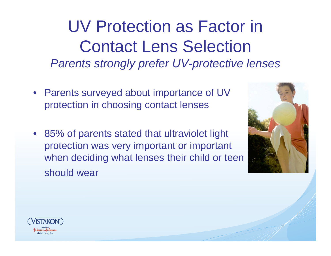UV Protection as Factor in Contact Lens Selection *Parents strongly prefer UV-protective lenses*

- Parents surveyed about importance of UV protection in choosing contact lenses
- 85% of parents stated that ultraviolet light protection was very important or important when deciding what lenses their child or teen should wear



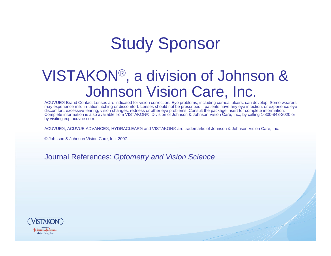### Study Sponsor

#### VISTAKON ®, a division of Johnson & Johnson Vision Care, Inc.

ACUVUE® Brand Contact Lenses are indicated for vision correction. Eye problems, including corneal ulcers, can develop. Some wearers may experience mild irritation, itching or discomfort. Lenses should not be prescribed if patients have any eye infection, or experience eye discomfort, excessive tearing, vision changes, redness or other eye problems. Consult the package insert for complete information. Complete information is also available from VISTAKON®, Division of Johnson & Johnson Vision Care, Inc., by calling 1-800-843-2020 or by visiting ecp.acuvue.com.

ACUVUE®, ACUVUE ADVANCE®, HYDRACLEAR® and VISTAKON® are trademarks of Johnson & Johnson Vision Care, Inc.

© Johnson & Johnson Vision Care, Inc. 2007.

Journal References: *Optometry and Vision Science*